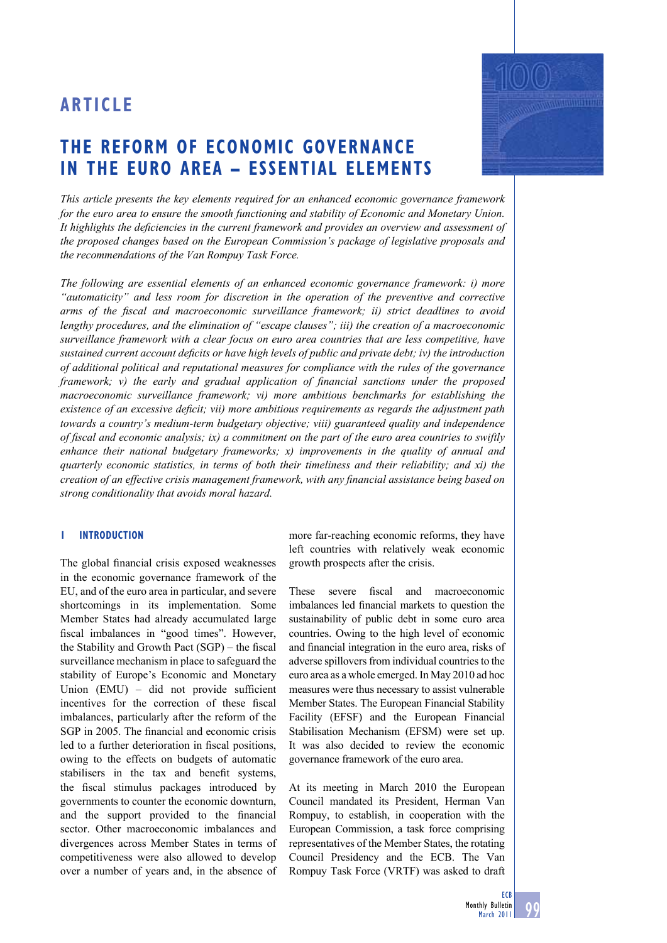# **THE REFORM OF ECONOMIC GOVERNANCE IN THE EURO AREA – ESSENTIAL ELEMENTS**



*This article presents the key elements required for an enhanced economic governance framework for the euro area to ensure the smooth functioning and stability of Economic and Monetary Union.*  It highlights the deficiencies in the current framework and provides an overview and assessment of *the proposed changes based on the European Commission's package of legislative proposals and the recommendations of the Van Rompuy Task Force.*

*The following are essential elements of an enhanced economic governance framework: i) more "automaticity" and less room for discretion in the operation of the preventive and corrective*  arms of the fiscal and macroeconomic surveillance framework; ii) strict deadlines to avoid *lengthy procedures, and the elimination of "escape clauses"; iii) the creation of a macroeconomic surveillance framework with a clear focus on euro area countries that are less competitive, have sustained current account deficits or have high levels of public and private debt; iv) the introduction of additional political and reputational measures for compliance with the rules of the governance framework; v) the early and gradual application of financial sanctions under the proposed macroeconomic surveillance framework; vi) more ambitious benchmarks for establishing the existence of an excessive deficit; vii) more ambitious requirements as regards the adjustment path towards a country's medium-term budgetary objective; viii) guaranteed quality and independence of fi scal and economic analysis; ix) a commitment on the part of the euro area countries to swiftly enhance their national budgetary frameworks; x) improvements in the quality of annual and quarterly economic statistics, in terms of both their timeliness and their reliability; and xi) the creation of an effective crisis management framework, with any financial assistance being based on strong conditionality that avoids moral hazard.*

## **1 INTRODUCTION**

The global financial crisis exposed weaknesses in the economic governance framework of the EU, and of the euro area in particular, and severe shortcomings in its implementation. Some Member States had already accumulated large fiscal imbalances in "good times". However, the Stability and Growth Pact  $(SGP)$  – the fiscal surveillance mechanism in place to safeguard the stability of Europe's Economic and Monetary Union  $(EMU)$  – did not provide sufficient incentives for the correction of these fiscal imbalances, particularly after the reform of the SGP in 2005. The financial and economic crisis led to a further deterioration in fiscal positions. owing to the effects on budgets of automatic stabilisers in the tax and benefit systems, the fiscal stimulus packages introduced by governments to counter the economic downturn, and the support provided to the financial sector. Other macroeconomic imbalances and divergences across Member States in terms of competitiveness were also allowed to develop over a number of years and, in the absence of

more far-reaching economic reforms, they have left countries with relatively weak economic growth prospects after the crisis.

These severe fiscal and macroeconomic imbalances led financial markets to question the sustainability of public debt in some euro area countries. Owing to the high level of economic and financial integration in the euro area, risks of adverse spillovers from individual countries to the euro area as a whole emerged. In May 2010 ad hoc measures were thus necessary to assist vulnerable Member States. The European Financial Stability Facility (EFSF) and the European Financial Stabilisation Mechanism (EFSM) were set up. It was also decided to review the economic governance framework of the euro area.

At its meeting in March 2010 the European Council mandated its President, Herman Van Rompuy, to establish, in cooperation with the European Commission, a task force comprising representatives of the Member States, the rotating Council Presidency and the ECB. The Van Rompuy Task Force (VRTF) was asked to draft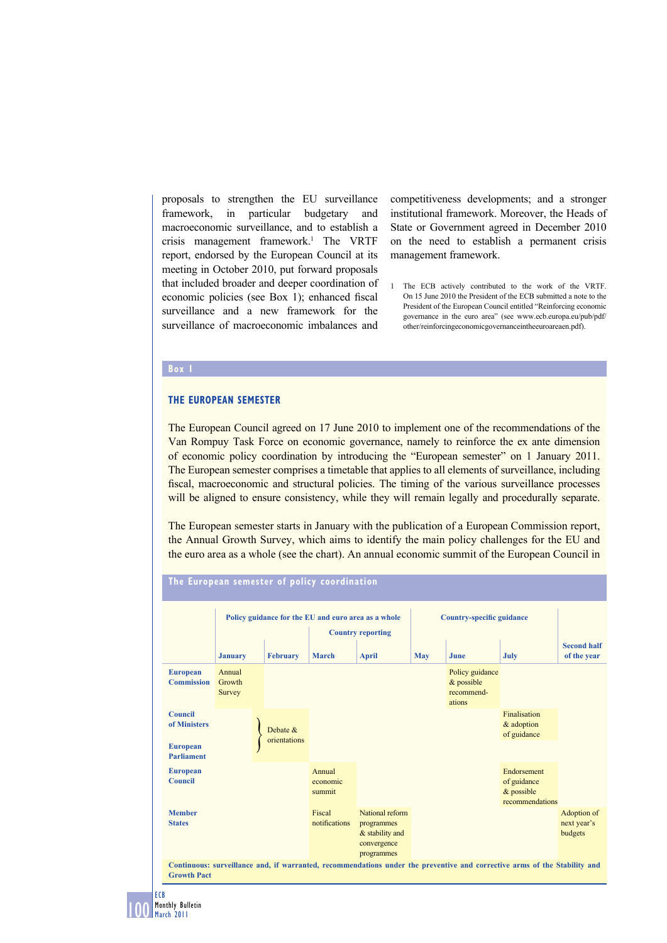proposals to strengthen the EU surveillance framework, in particular budgetary and macroeconomic surveillance, and to establish a crisis management framework.1 The VRTF report, endorsed by the European Council at its meeting in October 2010, put forward proposals that included broader and deeper coordination of economic policies (see Box 1); enhanced fiscal surveillance and a new framework for the surveillance of macroeconomic imbalances and

competitiveness developments; and a stronger institutional framework. Moreover, the Heads of State or Government agreed in December 2010 on the need to establish a permanent crisis management framework.

1 The ECB actively contributed to the work of the VRTF. On 15 June 2010 the President of the ECB submitted a note to the President of the European Council entitled "Reinforcing economic governance in the euro area" (see www.ecb.europa.eu/pub/pdf/ other/reinforcingeconomicgovernanceintheeuroareaen.pdf).

#### **Box 1**

## **THE EUROPEAN SEMESTER**

The European Council agreed on 17 June 2010 to implement one of the recommendations of the Van Rompuy Task Force on economic governance, namely to reinforce the ex ante dimension of economic policy coordination by introducing the "European semester" on 1 January 2011. The European semester comprises a timetable that applies to all elements of surveillance, including fiscal, macroeconomic and structural policies. The timing of the various surveillance processes will be aligned to ensure consistency, while they will remain legally and procedurally separate.

The European semester starts in January with the publication of a European Commission report, the Annual Growth Survey, which aims to identify the main policy challenges for the EU and the euro area as a whole (see the chart). An annual economic summit of the European Council in



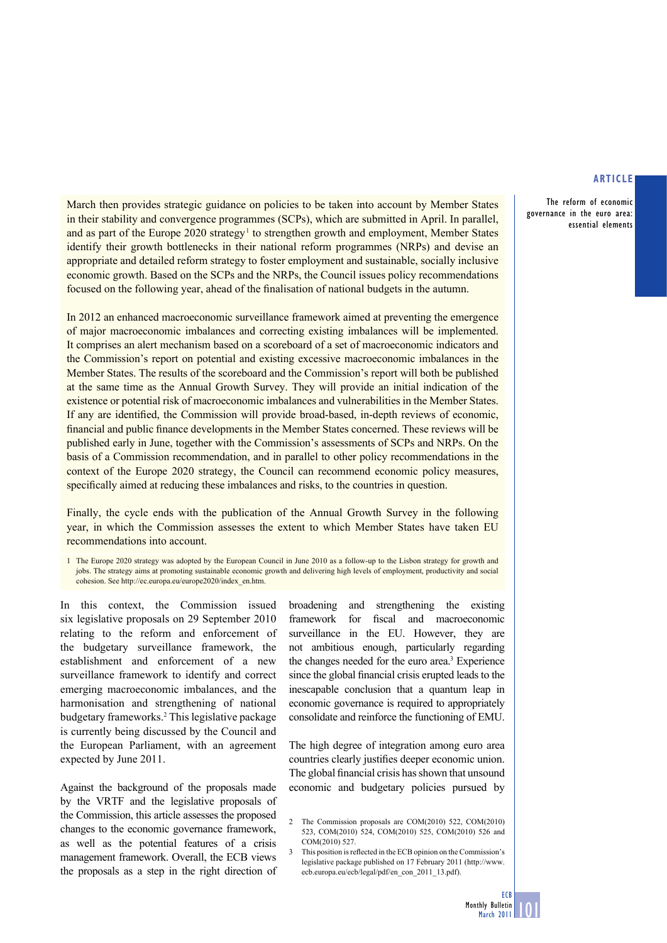The reform of economic governance in the euro area: essential elements

March then provides strategic guidance on policies to be taken into account by Member States in their stability and convergence programmes (SCPs), which are submitted in April. In parallel, and as part of the Europe 2020 strategy<sup>1</sup> to strengthen growth and employment, Member States identify their growth bottlenecks in their national reform programmes (NRPs) and devise an appropriate and detailed reform strategy to foster employment and sustainable, socially inclusive economic growth. Based on the SCPs and the NRPs, the Council issues policy recommendations focused on the following year, ahead of the finalisation of national budgets in the autumn.

In 2012 an enhanced macroeconomic surveillance framework aimed at preventing the emergence of major macroeconomic imbalances and correcting existing imbalances will be implemented. It comprises an alert mechanism based on a scoreboard of a set of macroeconomic indicators and the Commission's report on potential and existing excessive macroeconomic imbalances in the Member States. The results of the scoreboard and the Commission's report will both be published at the same time as the Annual Growth Survey. They will provide an initial indication of the existence or potential risk of macroeconomic imbalances and vulnerabilities in the Member States. If any are identified, the Commission will provide broad-based, in-depth reviews of economic, financial and public finance developments in the Member States concerned. These reviews will be published early in June, together with the Commission's assessments of SCPs and NRPs. On the basis of a Commission recommendation, and in parallel to other policy recommendations in the context of the Europe 2020 strategy, the Council can recommend economic policy measures, specifically aimed at reducing these imbalances and risks, to the countries in question.

Finally, the cycle ends with the publication of the Annual Growth Survey in the following year, in which the Commission assesses the extent to which Member States have taken EU recommendations into account.

1 The Europe 2020 strategy was adopted by the European Council in June 2010 as a follow-up to the Lisbon strategy for growth and jobs. The strategy aims at promoting sustainable economic growth and delivering high levels of employment, productivity and social cohesion. See http://ec.europa.eu/europe2020/index\_en.htm.

In this context, the Commission issued six legislative proposals on 29 September 2010 relating to the reform and enforcement of the budgetary surveillance framework, the establishment and enforcement of a new surveillance framework to identify and correct emerging macroeconomic imbalances, and the harmonisation and strengthening of national budgetary frameworks.2 This legislative package is currently being discussed by the Council and the European Parliament, with an agreement expected by June 2011.

Against the background of the proposals made by the VRTF and the legislative proposals of the Commission, this article assesses the proposed changes to the economic governance framework, as well as the potential features of a crisis management framework. Overall, the ECB views the proposals as a step in the right direction of broadening and strengthening the existing framework for fiscal and macroeconomic surveillance in the EU. However, they are not ambitious enough, particularly regarding the changes needed for the euro area.<sup>3</sup> Experience since the global financial crisis erupted leads to the inescapable conclusion that a quantum leap in economic governance is required to appropriately consolidate and reinforce the functioning of EMU.

The high degree of integration among euro area countries clearly justifies deeper economic union. The global financial crisis has shown that unsound economic and budgetary policies pursued by

<sup>2</sup> The Commission proposals are COM(2010) 522, COM(2010) 523, COM(2010) 524, COM(2010) 525, COM(2010) 526 and COM(2010) 527.

This position is reflected in the ECB opinion on the Commission's legislative package published on 17 February 2011 (http://www. ecb.europa.eu/ecb/legal/pdf/en\_con\_2011\_13.pdf).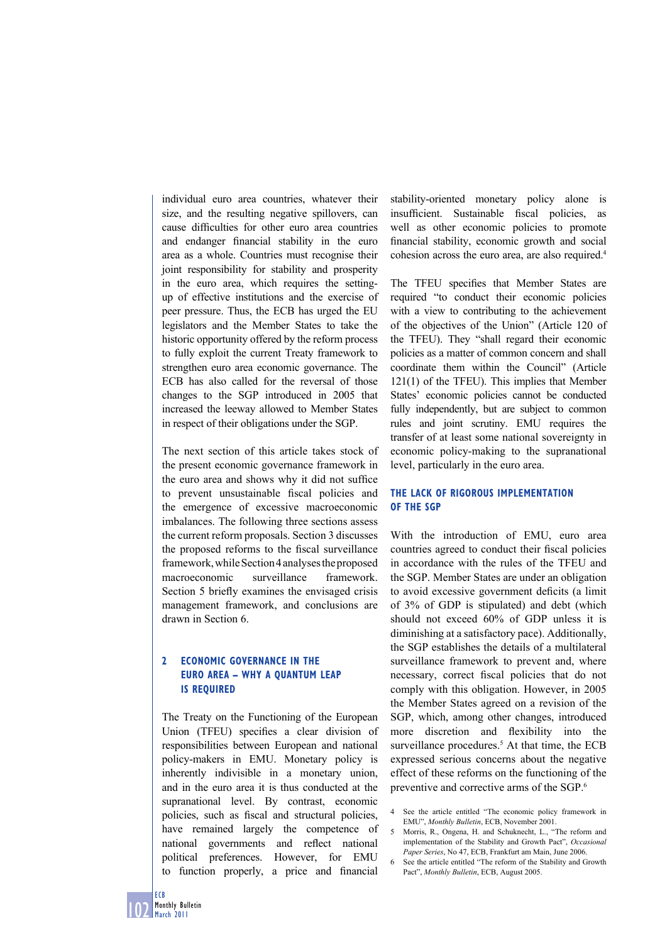individual euro area countries, whatever their size, and the resulting negative spillovers, can cause difficulties for other euro area countries and endanger financial stability in the euro area as a whole. Countries must recognise their joint responsibility for stability and prosperity in the euro area, which requires the settingup of effective institutions and the exercise of peer pressure. Thus, the ECB has urged the EU legislators and the Member States to take the historic opportunity offered by the reform process to fully exploit the current Treaty framework to strengthen euro area economic governance. The ECB has also called for the reversal of those changes to the SGP introduced in 2005 that increased the leeway allowed to Member States in respect of their obligations under the SGP.

The next section of this article takes stock of the present economic governance framework in the euro area and shows why it did not suffice to prevent unsustainable fiscal policies and the emergence of excessive macroeconomic imbalances. The following three sections assess the current reform proposals. Section 3 discusses the proposed reforms to the fiscal surveillance framework, while Section 4 analyses the proposed macroeconomic surveillance framework. Section 5 briefly examines the envisaged crisis management framework, and conclusions are drawn in Section 6.

# **2 ECONOMIC GOVERNANCE IN THE EURO AREA – WHY A QUANTUM LEAP IS REQUIRED**

The Treaty on the Functioning of the European Union (TFEU) specifies a clear division of responsibilities between European and national policy-makers in EMU. Monetary policy is inherently indivisible in a monetary union, and in the euro area it is thus conducted at the supranational level. By contrast, economic policies, such as fiscal and structural policies, have remained largely the competence of national governments and reflect national political preferences. However, for EMU to function properly, a price and financial

stability-oriented monetary policy alone is insufficient. Sustainable fiscal policies, well as other economic policies to promote financial stability, economic growth and social cohesion across the euro area, are also required.4

The TFEU specifies that Member States are required "to conduct their economic policies with a view to contributing to the achievement of the objectives of the Union" (Article 120 of the TFEU). They "shall regard their economic policies as a matter of common concern and shall coordinate them within the Council" (Article 121(1) of the TFEU). This implies that Member States' economic policies cannot be conducted fully independently, but are subject to common rules and joint scrutiny. EMU requires the transfer of at least some national sovereignty in economic policy-making to the supranational level, particularly in the euro area.

## **THE LACK OF RIGOROUS IMPLEMENTATION OF THE SGP**

With the introduction of EMU, euro area countries agreed to conduct their fiscal policies in accordance with the rules of the TFEU and the SGP. Member States are under an obligation to avoid excessive government deficits (a limit of 3% of GDP is stipulated) and debt (which should not exceed 60% of GDP unless it is diminishing at a satisfactory pace). Additionally, the SGP establishes the details of a multilateral surveillance framework to prevent and, where necessary, correct fiscal policies that do not comply with this obligation. However, in 2005 the Member States agreed on a revision of the SGP, which, among other changes, introduced more discretion and flexibility into the surveillance procedures.<sup>5</sup> At that time, the ECB expressed serious concerns about the negative effect of these reforms on the functioning of the preventive and corrective arms of the SGP.6

- 4 See the article entitled "The economic policy framework in EMU", *Monthly Bulletin*, ECB, November 2001.
- 5 Morris, R., Ongena, H. and Schuknecht, L., "The reform and implementation of the Stability and Growth Pact", *Occasional Paper Series*, No 47, ECB, Frankfurt am Main, June 2006.
- 6 See the article entitled "The reform of the Stability and Growth Pact", *Monthly Bulletin*, ECB, August 2005.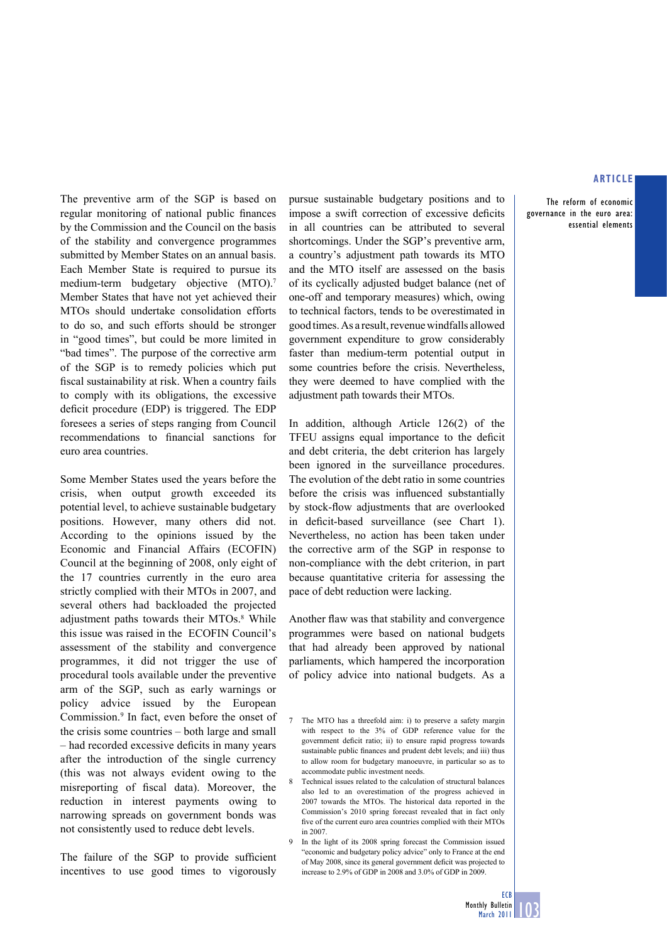The reform of economic governance in the euro area: essential elements

The preventive arm of the SGP is based on regular monitoring of national public finances by the Commission and the Council on the basis of the stability and convergence programmes submitted by Member States on an annual basis. Each Member State is required to pursue its medium-term budgetary objective (MTO).7 Member States that have not yet achieved their MTOs should undertake consolidation efforts to do so, and such efforts should be stronger in "good times", but could be more limited in "bad times". The purpose of the corrective arm of the SGP is to remedy policies which put fiscal sustainability at risk. When a country fails to comply with its obligations, the excessive deficit procedure (EDP) is triggered. The EDP foresees a series of steps ranging from Council recommendations to financial sanctions for euro area countries.

Some Member States used the years before the crisis, when output growth exceeded its potential level, to achieve sustainable budgetary positions. However, many others did not. According to the opinions issued by the Economic and Financial Affairs (ECOFIN) Council at the beginning of 2008, only eight of the 17 countries currently in the euro area strictly complied with their MTOs in 2007, and several others had backloaded the projected adjustment paths towards their MTOs.<sup>8</sup> While this issue was raised in the ECOFIN Council's assessment of the stability and convergence programmes, it did not trigger the use of procedural tools available under the preventive arm of the SGP, such as early warnings or policy advice issued by the European Commission.9 In fact, even before the onset of the crisis some countries – both large and small – had recorded excessive deficits in many years after the introduction of the single currency (this was not always evident owing to the misreporting of fiscal data). Moreover, the reduction in interest payments owing to narrowing spreads on government bonds was not consistently used to reduce debt levels.

The failure of the SGP to provide sufficient incentives to use good times to vigorously pursue sustainable budgetary positions and to impose a swift correction of excessive deficits in all countries can be attributed to several shortcomings. Under the SGP's preventive arm, a country's adjustment path towards its MTO and the MTO itself are assessed on the basis of its cyclically adjusted budget balance (net of one-off and temporary measures) which, owing to technical factors, tends to be overestimated in good times. As a result, revenue windfalls allowed government expenditure to grow considerably faster than medium-term potential output in some countries before the crisis. Nevertheless, they were deemed to have complied with the adjustment path towards their MTOs.

In addition, although Article 126(2) of the TFEU assigns equal importance to the deficit and debt criteria, the debt criterion has largely been ignored in the surveillance procedures. The evolution of the debt ratio in some countries before the crisis was influenced substantially by stock-flow adjustments that are overlooked in deficit-based surveillance (see Chart 1). Nevertheless, no action has been taken under the corrective arm of the SGP in response to non-compliance with the debt criterion, in part because quantitative criteria for assessing the pace of debt reduction were lacking.

Another flaw was that stability and convergence programmes were based on national budgets that had already been approved by national parliaments, which hampered the incorporation of policy advice into national budgets. As a

9 In the light of its 2008 spring forecast the Commission issued "economic and budgetary policy advice" only to France at the end of May 2008, since its general government deficit was projected to increase to 2.9% of GDP in 2008 and 3.0% of GDP in 2009.

<sup>7</sup> The MTO has a threefold aim: i) to preserve a safety margin with respect to the 3% of GDP reference value for the government deficit ratio; ii) to ensure rapid progress towards sustainable public finances and prudent debt levels; and iii) thus to allow room for budgetary manoeuvre, in particular so as to accommodate public investment needs.

<sup>8</sup> Technical issues related to the calculation of structural balances also led to an overestimation of the progress achieved in 2007 towards the MTOs. The historical data reported in the Commission's 2010 spring forecast revealed that in fact only five of the current euro area countries complied with their MTOs in 2007.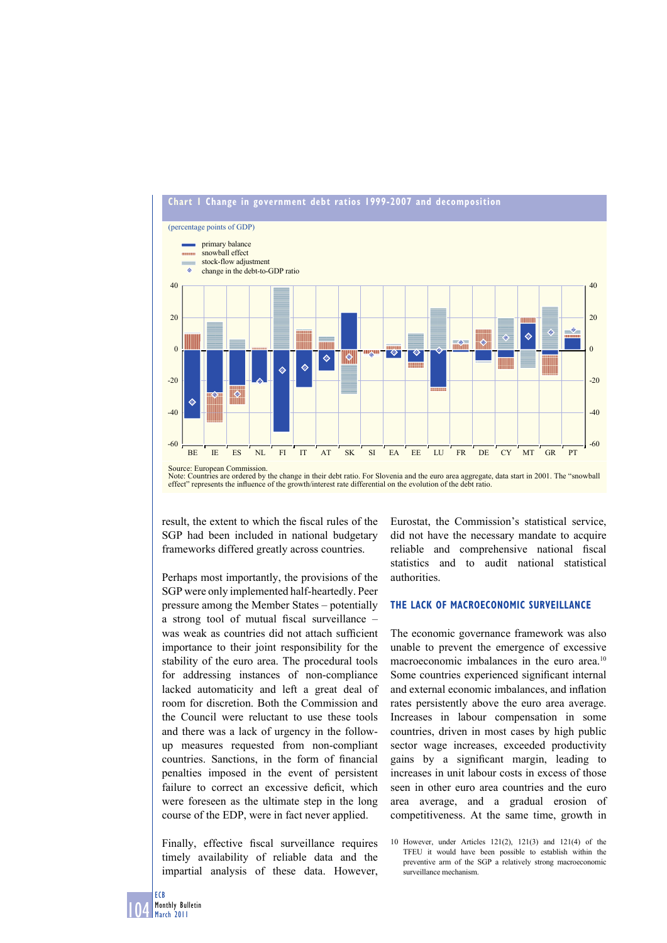

## **Chart 1 Change in government debt ratios 1999-2007 and decomposition**

Note: Countries are ordered by the change in their debt ratio. For Slovenia and the euro area aggregate, data start in 2001. The "snowball effect" represents the influence of the growth/interest rate differential on the evolution of the debt ratio.

result, the extent to which the fiscal rules of the SGP had been included in national budgetary frameworks differed greatly across countries.

Perhaps most importantly, the provisions of the SGP were only implemented half-heartedly. Peer pressure among the Member States – potentially a strong tool of mutual fiscal surveillance  $$ was weak as countries did not attach sufficient importance to their joint responsibility for the stability of the euro area. The procedural tools for addressing instances of non-compliance lacked automaticity and left a great deal of room for discretion. Both the Commission and the Council were reluctant to use these tools and there was a lack of urgency in the followup measures requested from non-compliant countries. Sanctions, in the form of financial penalties imposed in the event of persistent failure to correct an excessive deficit, which were foreseen as the ultimate step in the long course of the EDP, were in fact never applied.

Finally, effective fiscal surveillance requires timely availability of reliable data and the impartial analysis of these data. However, Eurostat, the Commission's statistical service, did not have the necessary mandate to acquire reliable and comprehensive national fiscal statistics and to audit national statistical authorities.

#### **THE LACK OF MACROECONOMIC SURVEILLANCE**

The economic governance framework was also unable to prevent the emergence of excessive macroeconomic imbalances in the euro area.<sup>10</sup> Some countries experienced significant internal and external economic imbalances, and inflation rates persistently above the euro area average. Increases in labour compensation in some countries, driven in most cases by high public sector wage increases, exceeded productivity gains by a significant margin, leading to increases in unit labour costs in excess of those seen in other euro area countries and the euro area average, and a gradual erosion of competitiveness. At the same time, growth in

<sup>10</sup> However, under Articles 121(2), 121(3) and 121(4) of the TFEU it would have been possible to establish within the preventive arm of the SGP a relatively strong macroeconomic surveillance mechanism.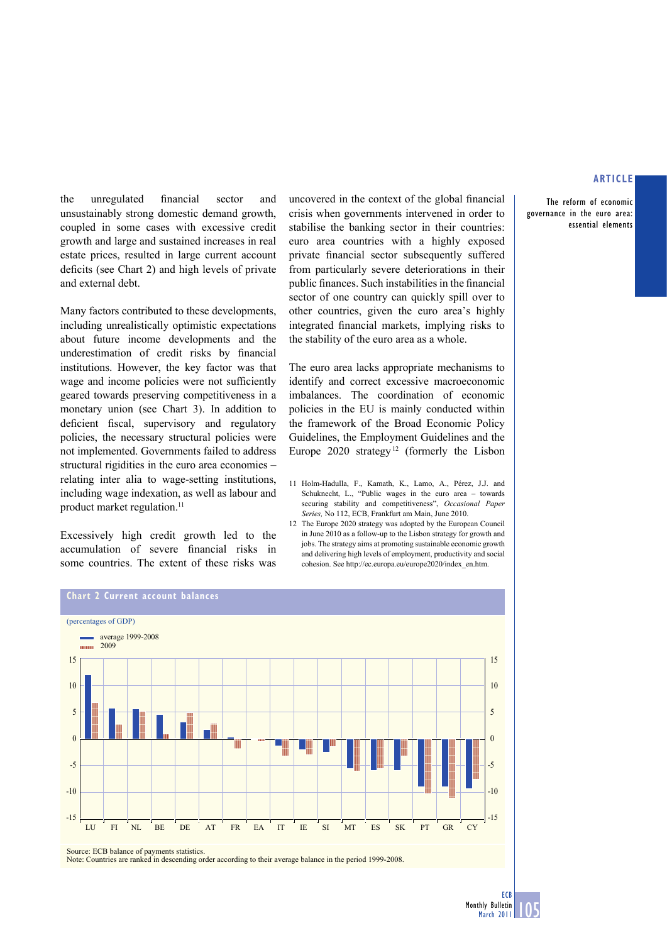The reform of economic governance in the euro area: essential elements

the unregulated financial sector and unsustainably strong domestic demand growth, coupled in some cases with excessive credit growth and large and sustained increases in real estate prices, resulted in large current account deficits (see Chart 2) and high levels of private and external debt.

Many factors contributed to these developments, including unrealistically optimistic expectations about future income developments and the underestimation of credit risks by financial institutions. However, the key factor was that wage and income policies were not sufficiently geared towards preserving competitiveness in a monetary union (see Chart 3). In addition to deficient fiscal, supervisory and regulatory policies, the necessary structural policies were not implemented. Governments failed to address structural rigidities in the euro area economies – relating inter alia to wage-setting institutions, including wage indexation, as well as labour and product market regulation.<sup>11</sup>

Excessively high credit growth led to the accumulation of severe financial risks in some countries. The extent of these risks was uncovered in the context of the global financial crisis when governments intervened in order to stabilise the banking sector in their countries: euro area countries with a highly exposed private financial sector subsequently suffered from particularly severe deteriorations in their public finances. Such instabilities in the financial sector of one country can quickly spill over to other countries, given the euro area's highly integrated financial markets, implying risks to the stability of the euro area as a whole.

The euro area lacks appropriate mechanisms to identify and correct excessive macroeconomic imbalances. The coordination of economic policies in the EU is mainly conducted within the framework of the Broad Economic Policy Guidelines, the Employment Guidelines and the Europe  $2020$  strategy<sup>12</sup> (formerly the Lisbon

- 11 Holm-Hadulla, F., Kamath, K., Lamo, A., Pérez, J.J. and Schuknecht, L., "Public wages in the euro area – towards securing stability and competitiveness", *Occasional Paper Series,* No 112, ECB, Frankfurt am Main, June 2010.
- 12 The Europe 2020 strategy was adopted by the European Council in June 2010 as a follow-up to the Lisbon strategy for growth and jobs. The strategy aims at promoting sustainable economic growth and delivering high levels of employment, productivity and social cohesion. See http://ec.europa.eu/europe2020/index\_en.htm.



Source: ECB balance of payments statistics.

Note: Countries are ranked in descending order according to their average balance in the period 1999-2008.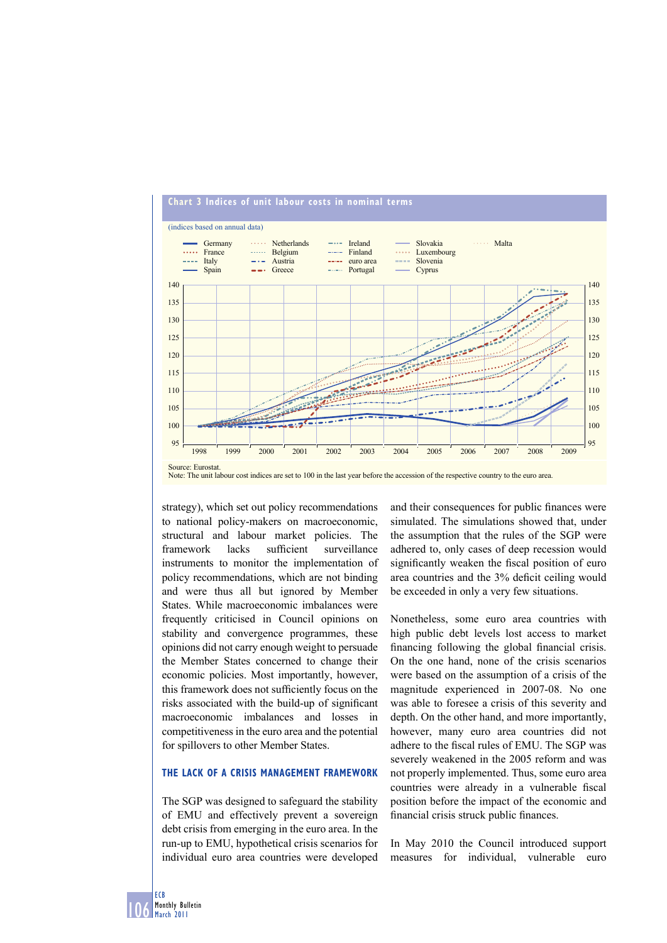

# **Chart 3 Indices of unit labour costs in nominal terms**

strategy), which set out policy recommendations to national policy-makers on macroeconomic, structural and labour market policies. The framework lacks sufficient surveillance instruments to monitor the implementation of policy recommendations, which are not binding and were thus all but ignored by Member States. While macroeconomic imbalances were frequently criticised in Council opinions on stability and convergence programmes, these opinions did not carry enough weight to persuade the Member States concerned to change their economic policies. Most importantly, however, this framework does not sufficiently focus on the risks associated with the build-up of significant macroeconomic imbalances and losses in competitiveness in the euro area and the potential for spillovers to other Member States.

#### **THE LACK OF A CRISIS MANAGEMENT FRAMEWORK**

The SGP was designed to safeguard the stability of EMU and effectively prevent a sovereign debt crisis from emerging in the euro area. In the run-up to EMU, hypothetical crisis scenarios for individual euro area countries were developed

and their consequences for public finances were simulated. The simulations showed that, under the assumption that the rules of the SGP were adhered to, only cases of deep recession would significantly weaken the fiscal position of euro area countries and the 3% deficit ceiling would be exceeded in only a very few situations.

Nonetheless, some euro area countries with high public debt levels lost access to market financing following the global financial crisis. On the one hand, none of the crisis scenarios were based on the assumption of a crisis of the magnitude experienced in 2007-08. No one was able to foresee a crisis of this severity and depth. On the other hand, and more importantly, however, many euro area countries did not adhere to the fiscal rules of EMU. The SGP was severely weakened in the 2005 reform and was not properly implemented. Thus, some euro area countries were already in a vulnerable fiscal position before the impact of the economic and financial crisis struck public finances.

In May 2010 the Council introduced support measures for individual, vulnerable euro

Source: Eurostat. Note: The unit labour cost indices are set to 100 in the last year before the accession of the respective country to the euro area.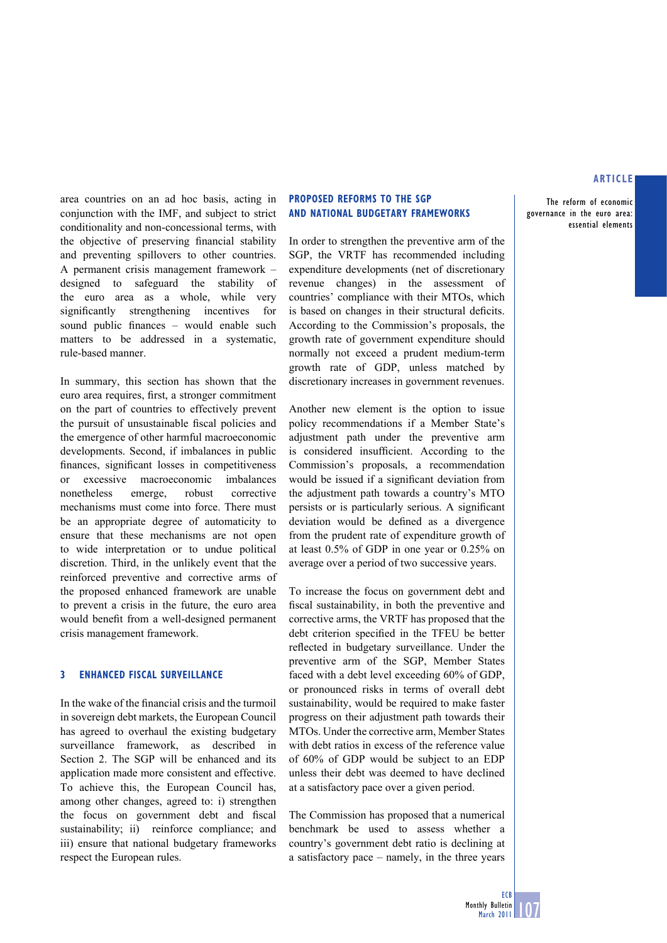The reform of economic governance in the euro area:

essential elements

area countries on an ad hoc basis, acting in conjunction with the IMF, and subject to strict conditionality and non-concessional terms, with the objective of preserving financial stability and preventing spillovers to other countries. A permanent crisis management framework – designed to safeguard the stability of the euro area as a whole, while very significantly strengthening incentives for sound public finances – would enable such matters to be addressed in a systematic, rule-based manner.

In summary, this section has shown that the euro area requires, first, a stronger commitment on the part of countries to effectively prevent the pursuit of unsustainable fiscal policies and the emergence of other harmful macroeconomic developments. Second, if imbalances in public finances, significant losses in competitiveness or excessive macroeconomic imbalances nonetheless emerge, robust corrective mechanisms must come into force. There must be an appropriate degree of automaticity to ensure that these mechanisms are not open to wide interpretation or to undue political discretion. Third, in the unlikely event that the reinforced preventive and corrective arms of the proposed enhanced framework are unable to prevent a crisis in the future, the euro area would benefit from a well-designed permanent crisis management framework.

#### **3 ENHANCED FISCAL SURVEILLANCE**

In the wake of the financial crisis and the turmoil in sovereign debt markets, the European Council has agreed to overhaul the existing budgetary surveillance framework, as described in Section 2. The SGP will be enhanced and its application made more consistent and effective. To achieve this, the European Council has, among other changes, agreed to: i) strengthen the focus on government debt and fiscal sustainability; ii) reinforce compliance; and iii) ensure that national budgetary frameworks respect the European rules.

## **PROPOSED REFORMS TO THE SGP AND NATIONAL BUDGETARY FRAMEWORKS**

In order to strengthen the preventive arm of the SGP, the VRTF has recommended including expenditure developments (net of discretionary revenue changes) in the assessment of countries' compliance with their MTOs, which is based on changes in their structural deficits. According to the Commission's proposals, the growth rate of government expenditure should normally not exceed a prudent medium-term growth rate of GDP, unless matched by discretionary increases in government revenues.

Another new element is the option to issue policy recommendations if a Member State's adjustment path under the preventive arm is considered insufficient. According to the Commission's proposals, a recommendation would be issued if a significant deviation from the adjustment path towards a country's MTO persists or is particularly serious. A significant deviation would be defined as a divergence from the prudent rate of expenditure growth of at least 0.5% of GDP in one year or 0.25% on average over a period of two successive years.

To increase the focus on government debt and fiscal sustainability, in both the preventive and corrective arms, the VRTF has proposed that the debt criterion specified in the TFEU be better reflected in budgetary surveillance. Under the preventive arm of the SGP, Member States faced with a debt level exceeding 60% of GDP, or pronounced risks in terms of overall debt sustainability, would be required to make faster progress on their adjustment path towards their MTOs. Under the corrective arm, Member States with debt ratios in excess of the reference value of 60% of GDP would be subject to an EDP unless their debt was deemed to have declined at a satisfactory pace over a given period.

The Commission has proposed that a numerical benchmark be used to assess whether a country's government debt ratio is declining at a satisfactory pace – namely, in the three years

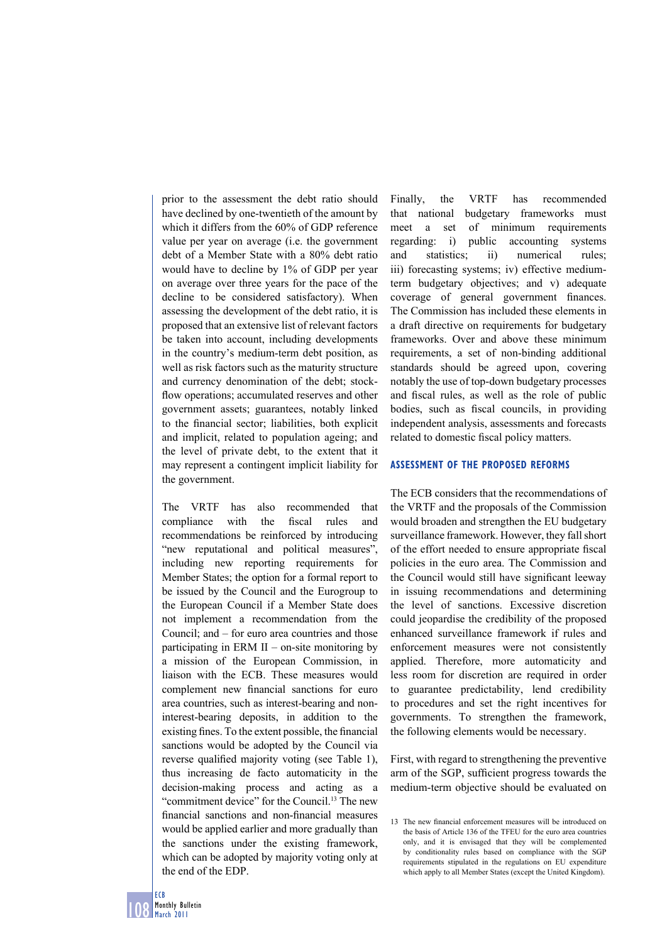prior to the assessment the debt ratio should have declined by one-twentieth of the amount by which it differs from the 60% of GDP reference value per year on average (i.e. the government debt of a Member State with a 80% debt ratio would have to decline by 1% of GDP per year on average over three years for the pace of the decline to be considered satisfactory). When assessing the development of the debt ratio, it is proposed that an extensive list of relevant factors be taken into account, including developments in the country's medium-term debt position, as well as risk factors such as the maturity structure and currency denomination of the debt; stockflow operations; accumulated reserves and other government assets; guarantees, notably linked to the financial sector; liabilities, both explicit and implicit, related to population ageing; and the level of private debt, to the extent that it may represent a contingent implicit liability for the government.

The VRTF has also recommended that compliance with the fiscal rules and recommendations be reinforced by introducing "new reputational and political measures", including new reporting requirements for Member States; the option for a formal report to be issued by the Council and the Eurogroup to the European Council if a Member State does not implement a recommendation from the Council; and – for euro area countries and those participating in ERM  $II$  – on-site monitoring by a mission of the European Commission, in liaison with the ECB. These measures would complement new financial sanctions for euro area countries, such as interest-bearing and noninterest-bearing deposits, in addition to the existing fines. To the extent possible, the financial sanctions would be adopted by the Council via reverse qualified majority voting (see Table 1), thus increasing de facto automaticity in the decision-making process and acting as a "commitment device" for the Council.13 The new financial sanctions and non-financial measures would be applied earlier and more gradually than the sanctions under the existing framework, which can be adopted by majority voting only at the end of the EDP.

Finally, the VRTF has recommended that national budgetary frameworks must meet a set of minimum requirements regarding: i) public accounting systems and statistics; ii) numerical rules; iii) forecasting systems; iv) effective mediumterm budgetary objectives; and v) adequate coverage of general government finances. The Commission has included these elements in a draft directive on requirements for budgetary frameworks. Over and above these minimum requirements, a set of non-binding additional standards should be agreed upon, covering notably the use of top-down budgetary processes and fiscal rules, as well as the role of public bodies, such as fiscal councils, in providing independent analysis, assessments and forecasts related to domestic fiscal policy matters.

#### **ASSESSMENT OF THE PROPOSED REFORMS**

The ECB considers that the recommendations of the VRTF and the proposals of the Commission would broaden and strengthen the EU budgetary surveillance framework. However, they fall short of the effort needed to ensure appropriate fiscal policies in the euro area. The Commission and the Council would still have significant leeway in issuing recommendations and determining the level of sanctions. Excessive discretion could jeopardise the credibility of the proposed enhanced surveillance framework if rules and enforcement measures were not consistently applied. Therefore, more automaticity and less room for discretion are required in order to guarantee predictability, lend credibility to procedures and set the right incentives for governments. To strengthen the framework, the following elements would be necessary.

First, with regard to strengthening the preventive arm of the SGP, sufficient progress towards the medium-term objective should be evaluated on

<sup>13</sup> The new financial enforcement measures will be introduced on the basis of Article 136 of the TFEU for the euro area countries only, and it is envisaged that they will be complemented by conditionality rules based on compliance with the SGP requirements stipulated in the regulations on EU expenditure which apply to all Member States (except the United Kingdom).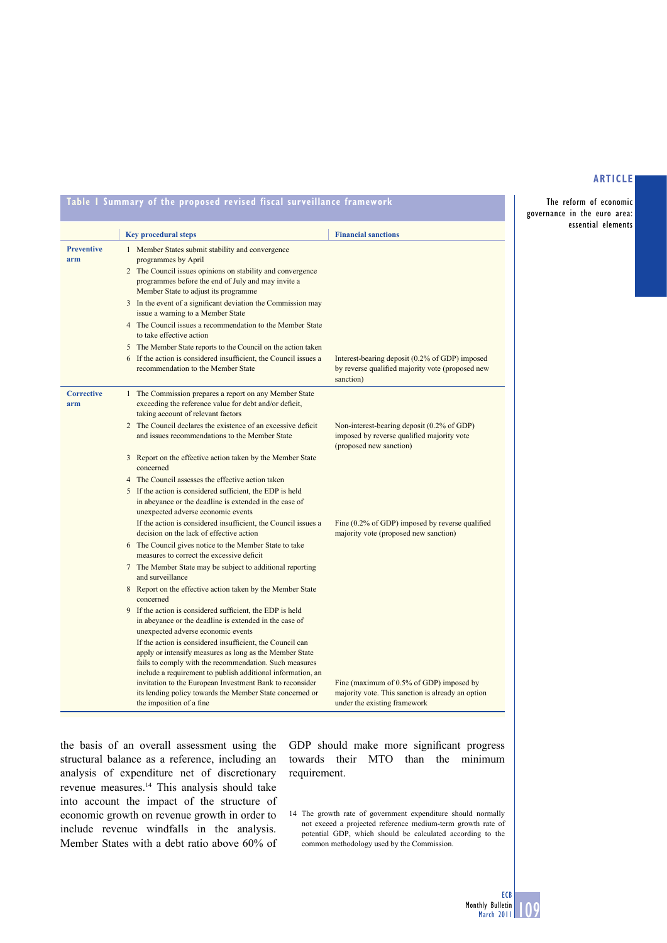The reform of economic governance in the euro area: essential elements

**Table 1 Summary of the proposed revised fiscal surveillance framework**

|                          | <b>Key procedural steps</b>                                                                                                                                                                                                                                                                                                                                                                                                                                                                        | <b>Financial sanctions</b>                                                                                                    |
|--------------------------|----------------------------------------------------------------------------------------------------------------------------------------------------------------------------------------------------------------------------------------------------------------------------------------------------------------------------------------------------------------------------------------------------------------------------------------------------------------------------------------------------|-------------------------------------------------------------------------------------------------------------------------------|
| <b>Preventive</b><br>arm | 1 Member States submit stability and convergence<br>programmes by April<br>2 The Council issues opinions on stability and convergence<br>programmes before the end of July and may invite a<br>Member State to adjust its programme<br>3 In the event of a significant deviation the Commission may<br>issue a warning to a Member State<br>4 The Council issues a recommendation to the Member State<br>to take effective action<br>5 The Member State reports to the Council on the action taken |                                                                                                                               |
|                          | 6 If the action is considered insufficient, the Council issues a<br>recommendation to the Member State                                                                                                                                                                                                                                                                                                                                                                                             | Interest-bearing deposit (0.2% of GDP) imposed<br>by reverse qualified majority vote (proposed new<br>sanction)               |
| <b>Corrective</b><br>arm | 1 The Commission prepares a report on any Member State<br>exceeding the reference value for debt and/or deficit,<br>taking account of relevant factors                                                                                                                                                                                                                                                                                                                                             |                                                                                                                               |
|                          | 2 The Council declares the existence of an excessive deficit<br>and issues recommendations to the Member State                                                                                                                                                                                                                                                                                                                                                                                     | Non-interest-bearing deposit (0.2% of GDP)<br>imposed by reverse qualified majority vote<br>(proposed new sanction)           |
|                          | 3 Report on the effective action taken by the Member State<br>concerned                                                                                                                                                                                                                                                                                                                                                                                                                            |                                                                                                                               |
|                          | 4 The Council assesses the effective action taken                                                                                                                                                                                                                                                                                                                                                                                                                                                  |                                                                                                                               |
|                          | 5 If the action is considered sufficient, the EDP is held<br>in abeyance or the deadline is extended in the case of<br>unexpected adverse economic events                                                                                                                                                                                                                                                                                                                                          |                                                                                                                               |
|                          | If the action is considered insufficient, the Council issues a<br>decision on the lack of effective action                                                                                                                                                                                                                                                                                                                                                                                         | Fine (0.2% of GDP) imposed by reverse qualified<br>majority vote (proposed new sanction)                                      |
|                          | 6 The Council gives notice to the Member State to take<br>measures to correct the excessive deficit                                                                                                                                                                                                                                                                                                                                                                                                |                                                                                                                               |
|                          | 7 The Member State may be subject to additional reporting<br>and surveillance                                                                                                                                                                                                                                                                                                                                                                                                                      |                                                                                                                               |
|                          | 8 Report on the effective action taken by the Member State<br>concerned                                                                                                                                                                                                                                                                                                                                                                                                                            |                                                                                                                               |
|                          | 9 If the action is considered sufficient, the EDP is held<br>in abeyance or the deadline is extended in the case of<br>unexpected adverse economic events                                                                                                                                                                                                                                                                                                                                          |                                                                                                                               |
|                          | If the action is considered insufficient, the Council can<br>apply or intensify measures as long as the Member State<br>fails to comply with the recommendation. Such measures<br>include a requirement to publish additional information, an<br>invitation to the European Investment Bank to reconsider<br>its lending policy towards the Member State concerned or<br>the imposition of a fine                                                                                                  | Fine (maximum of 0.5% of GDP) imposed by<br>majority vote. This sanction is already an option<br>under the existing framework |

the basis of an overall assessment using the structural balance as a reference, including an analysis of expenditure net of discretionary revenue measures.14 This analysis should take into account the impact of the structure of economic growth on revenue growth in order to include revenue windfalls in the analysis. Member States with a debt ratio above 60% of GDP should make more significant progress towards their MTO than the minimum requirement.

14 The growth rate of government expenditure should normally not exceed a projected reference medium-term growth rate of potential GDP, which should be calculated according to the common methodology used by the Commission.

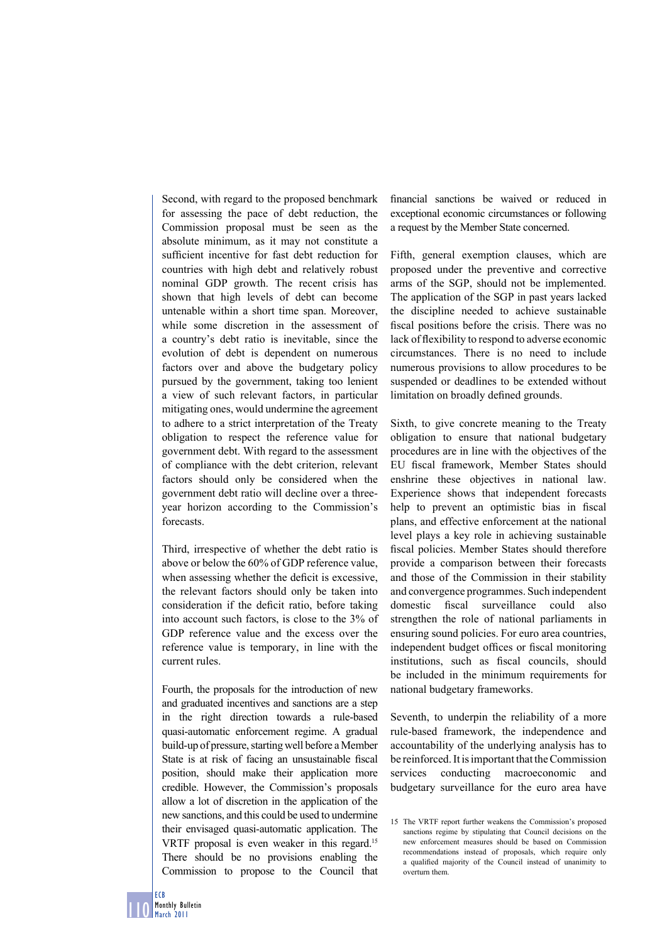Second, with regard to the proposed benchmark for assessing the pace of debt reduction, the Commission proposal must be seen as the absolute minimum, as it may not constitute a sufficient incentive for fast debt reduction for countries with high debt and relatively robust nominal GDP growth. The recent crisis has shown that high levels of debt can become untenable within a short time span. Moreover, while some discretion in the assessment of a country's debt ratio is inevitable, since the evolution of debt is dependent on numerous factors over and above the budgetary policy pursued by the government, taking too lenient a view of such relevant factors, in particular mitigating ones, would undermine the agreement to adhere to a strict interpretation of the Treaty obligation to respect the reference value for government debt. With regard to the assessment of compliance with the debt criterion, relevant factors should only be considered when the government debt ratio will decline over a threeyear horizon according to the Commission's forecasts.

Third, irrespective of whether the debt ratio is above or below the 60% of GDP reference value, when assessing whether the deficit is excessive, the relevant factors should only be taken into consideration if the deficit ratio, before taking into account such factors, is close to the 3% of GDP reference value and the excess over the reference value is temporary, in line with the current rules.

Fourth, the proposals for the introduction of new and graduated incentives and sanctions are a step in the right direction towards a rule-based quasi-automatic enforcement regime. A gradual build-up of pressure, starting well before a Member State is at risk of facing an unsustainable fiscal position, should make their application more credible. However, the Commission's proposals allow a lot of discretion in the application of the new sanctions, and this could be used to undermine their envisaged quasi-automatic application. The VRTF proposal is even weaker in this regard.15 There should be no provisions enabling the Commission to propose to the Council that

financial sanctions be waived or reduced in exceptional economic circumstances or following a request by the Member State concerned.

Fifth, general exemption clauses, which are proposed under the preventive and corrective arms of the SGP, should not be implemented. The application of the SGP in past years lacked the discipline needed to achieve sustainable fiscal positions before the crisis. There was no lack of flexibility to respond to adverse economic circumstances. There is no need to include numerous provisions to allow procedures to be suspended or deadlines to be extended without limitation on broadly defined grounds.

Sixth, to give concrete meaning to the Treaty obligation to ensure that national budgetary procedures are in line with the objectives of the EU fiscal framework, Member States should enshrine these objectives in national law. Experience shows that independent forecasts help to prevent an optimistic bias in fiscal plans, and effective enforcement at the national level plays a key role in achieving sustainable fiscal policies. Member States should therefore provide a comparison between their forecasts and those of the Commission in their stability and convergence programmes. Such independent domestic fiscal surveillance could also strengthen the role of national parliaments in ensuring sound policies. For euro area countries, independent budget offices or fiscal monitoring institutions, such as fiscal councils, should be included in the minimum requirements for national budgetary frameworks.

Seventh, to underpin the reliability of a more rule-based framework, the independence and accountability of the underlying analysis has to be reinforced. It is important that the Commission services conducting macroeconomic and budgetary surveillance for the euro area have

<sup>15</sup> The VRTF report further weakens the Commission's proposed sanctions regime by stipulating that Council decisions on the new enforcement measures should be based on Commission recommendations instead of proposals, which require only a qualified majority of the Council instead of unanimity to overturn them.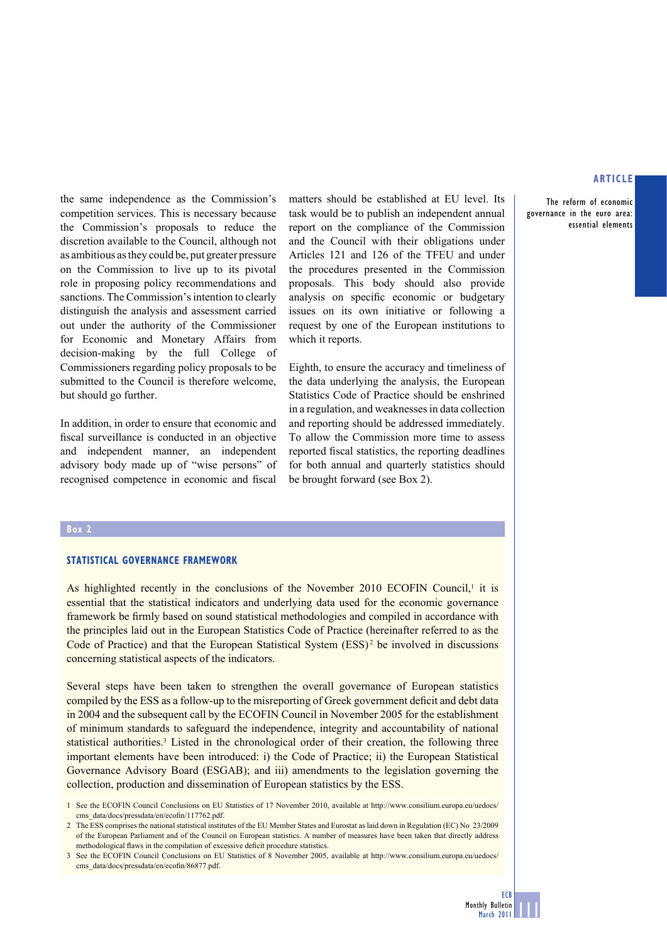The reform of economic governance in the euro area: essential elements

the same independence as the Commission's competition services. This is necessary because the Commission's proposals to reduce the discretion available to the Council, although not as ambitious as they could be, put greater pressure on the Commission to live up to its pivotal role in proposing policy recommendations and sanctions. The Commission's intention to clearly distinguish the analysis and assessment carried out under the authority of the Commissioner for Economic and Monetary Affairs from decision-making by the full College of Commissioners regarding policy proposals to be submitted to the Council is therefore welcome, but should go further.

In addition, in order to ensure that economic and fiscal surveillance is conducted in an objective and independent manner, an independent advisory body made up of "wise persons" of recognised competence in economic and fiscal

matters should be established at EU level. Its task would be to publish an independent annual report on the compliance of the Commission and the Council with their obligations under Articles 121 and 126 of the TFEU and under the procedures presented in the Commission proposals. This body should also provide analysis on specific economic or budgetary issues on its own initiative or following a request by one of the European institutions to which it reports.

Eighth, to ensure the accuracy and timeliness of the data underlying the analysis, the European Statistics Code of Practice should be enshrined in a regulation, and weaknesses in data collection and reporting should be addressed immediately. To allow the Commission more time to assess reported fiscal statistics, the reporting deadlines for both annual and quarterly statistics should be brought forward (see Box 2).

#### **Box 2**

#### **STATISTICAL GOVERNANCE FRAMEWORK**

As highlighted recently in the conclusions of the November 2010 ECOFIN Council, $\frac{1}{1}$  it is essential that the statistical indicators and underlying data used for the economic governance framework be firmly based on sound statistical methodologies and compiled in accordance with the principles laid out in the European Statistics Code of Practice (hereinafter referred to as the Code of Practice) and that the European Statistical System  $(ESS)^2$  be involved in discussions concerning statistical aspects of the indicators.

Several steps have been taken to strengthen the overall governance of European statistics compiled by the ESS as a follow-up to the misreporting of Greek government deficit and debt data in 2004 and the subsequent call by the ECOFIN Council in November 2005 for the establishment of minimum standards to safeguard the independence, integrity and accountability of national statistical authorities.<sup>3</sup> Listed in the chronological order of their creation, the following three important elements have been introduced: i) the Code of Practice; ii) the European Statistical Governance Advisory Board (ESGAB); and iii) amendments to the legislation governing the collection, production and dissemination of European statistics by the ESS.

1 See the ECOFIN Council Conclusions on EU Statistics of 17 November 2010, available at http://www.consilium.europa.eu/uedocs/ cms\_data/docs/pressdata/en/ecofin/117762.pdf.

2 The ESS comprises the national statistical institutes of the EU Member States and Eurostat as laid down in Regulation (EC) No 23/2009 of the European Parliament and of the Council on European statistics. A number of measures have been taken that directly address methodological flaws in the compilation of excessive deficit procedure statistics.

3 See the ECOFIN Council Conclusions on EU Statistics of 8 November 2005, available at http://www.consilium.europa.eu/uedocs/ cms\_data/docs/pressdata/en/ecofin/86877.pdf.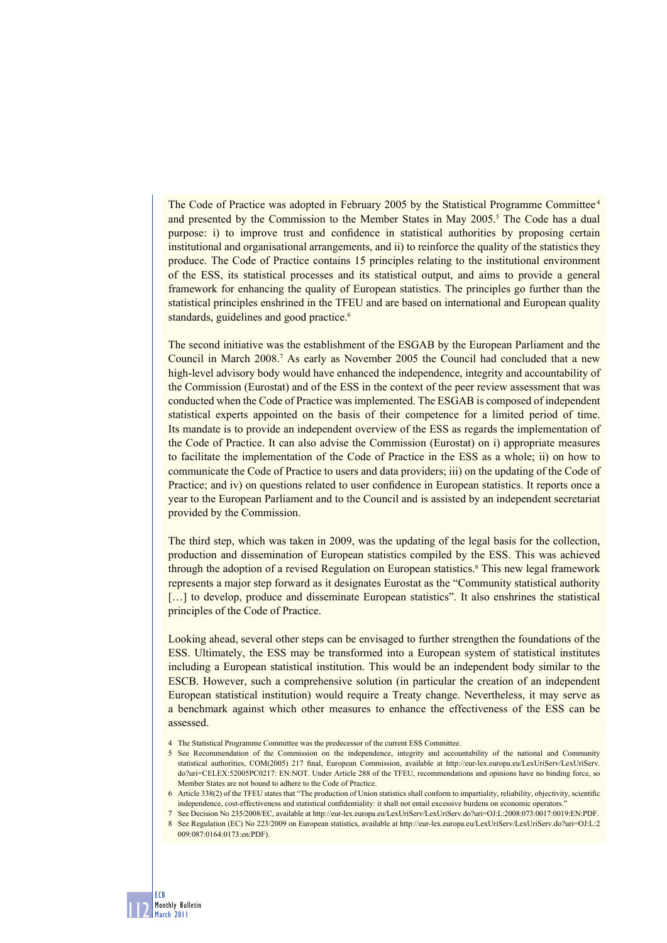The Code of Practice was adopted in February 2005 by the Statistical Programme Committee 4 and presented by the Commission to the Member States in May 2005.<sup>5</sup> The Code has a dual purpose: i) to improve trust and confidence in statistical authorities by proposing certain institutional and organisational arrangements, and ii) to reinforce the quality of the statistics they produce. The Code of Practice contains 15 principles relating to the institutional environment of the ESS, its statistical processes and its statistical output, and aims to provide a general framework for enhancing the quality of European statistics. The principles go further than the statistical principles enshrined in the TFEU and are based on international and European quality standards, guidelines and good practice.<sup>6</sup>

The second initiative was the establishment of the ESGAB by the European Parliament and the Council in March 2008.7 As early as November 2005 the Council had concluded that a new high-level advisory body would have enhanced the independence, integrity and accountability of the Commission (Eurostat) and of the ESS in the context of the peer review assessment that was conducted when the Code of Practice was implemented. The ESGAB is composed of independent statistical experts appointed on the basis of their competence for a limited period of time. Its mandate is to provide an independent overview of the ESS as regards the implementation of the Code of Practice. It can also advise the Commission (Eurostat) on i) appropriate measures to facilitate the implementation of the Code of Practice in the ESS as a whole; ii) on how to communicate the Code of Practice to users and data providers; iii) on the updating of the Code of Practice; and iv) on questions related to user confidence in European statistics. It reports once a year to the European Parliament and to the Council and is assisted by an independent secretariat provided by the Commission.

The third step, which was taken in 2009, was the updating of the legal basis for the collection, production and dissemination of European statistics compiled by the ESS. This was achieved through the adoption of a revised Regulation on European statistics.<sup>8</sup> This new legal framework represents a major step forward as it designates Eurostat as the "Community statistical authority [...] to develop, produce and disseminate European statistics". It also enshrines the statistical principles of the Code of Practice.

Looking ahead, several other steps can be envisaged to further strengthen the foundations of the ESS. Ultimately, the ESS may be transformed into a European system of statistical institutes including a European statistical institution. This would be an independent body similar to the ESCB. However, such a comprehensive solution (in particular the creation of an independent European statistical institution) would require a Treaty change. Nevertheless, it may serve as a benchmark against which other measures to enhance the effectiveness of the ESS can be assessed.

4 The Statistical Programme Committee was the predecessor of the current ESS Committee.

<u>| | | |</u>

ECB Monthly Bulletin March 2011

5 See Recommendation of the Commission on the independence, integrity and accountability of the national and Community statistical authorities, COM(2005) 217 final, European Commission, available at http://eur-lex.europa.eu/LexUriServ/LexUriServ. do?uri=CELEX:52005PC0217: EN:NOT. Under Article 288 of the TFEU, recommendations and opinions have no binding force, so Member States are not bound to adhere to the Code of Practice.

<sup>6</sup> Article 338(2) of the TFEU states that "The production of Union statistics shall conform to impartiality, reliability, objectivity, scientifi c independence, cost-effectiveness and statistical confidentiality: it shall not entail excessive burdens on economic operators.

<sup>7</sup> See Decision No 235/2008/EC, available at http://eur-lex.europa.eu/LexUriServ/LexUriServ.do?uri=OJ:L:2008:073:0017:0019:EN:PDF.

<sup>8</sup> See Regulation (EC) No 223/2009 on European statistics, available at http://eur-lex.europa.eu/LexUriServ/LexUriServ.do?uri=OJ:L:2 009:087:0164:0173:en:PDF).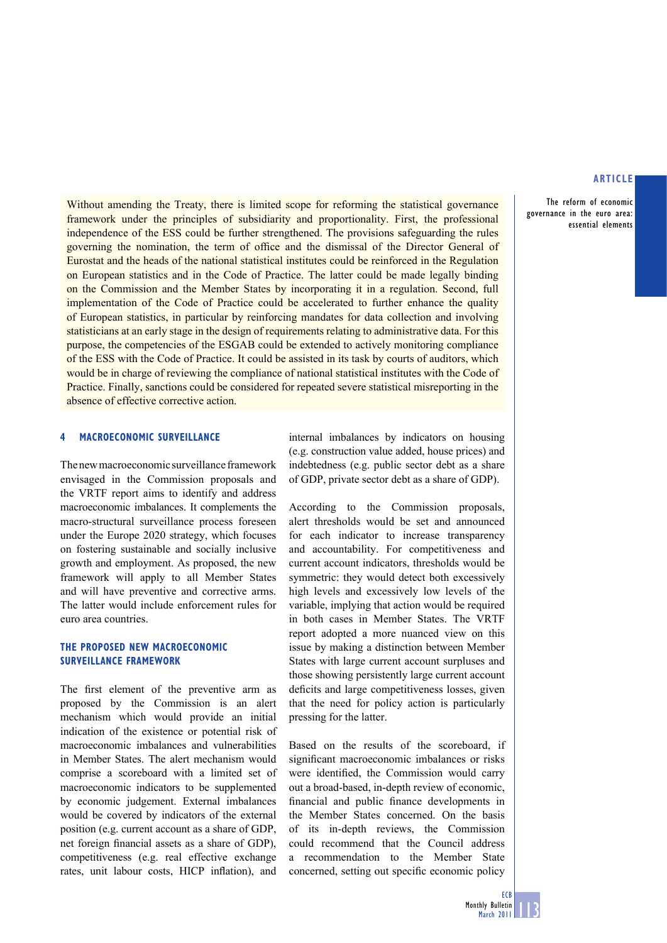The reform of economic governance in the euro area: essential elements

Without amending the Treaty, there is limited scope for reforming the statistical governance framework under the principles of subsidiarity and proportionality. First, the professional independence of the ESS could be further strengthened. The provisions safeguarding the rules governing the nomination, the term of office and the dismissal of the Director General of Eurostat and the heads of the national statistical institutes could be reinforced in the Regulation on European statistics and in the Code of Practice. The latter could be made legally binding on the Commission and the Member States by incorporating it in a regulation. Second, full implementation of the Code of Practice could be accelerated to further enhance the quality of European statistics, in particular by reinforcing mandates for data collection and involving statisticians at an early stage in the design of requirements relating to administrative data. For this purpose, the competencies of the ESGAB could be extended to actively monitoring compliance of the ESS with the Code of Practice. It could be assisted in its task by courts of auditors, which would be in charge of reviewing the compliance of national statistical institutes with the Code of Practice. Finally, sanctions could be considered for repeated severe statistical misreporting in the absence of effective corrective action.

## **MACROECONOMIC SURVEILLANCE**

The new macroeconomic surveillance framework envisaged in the Commission proposals and the VRTF report aims to identify and address macroeconomic imbalances. It complements the macro-structural surveillance process foreseen under the Europe 2020 strategy, which focuses on fostering sustainable and socially inclusive growth and employment. As proposed, the new framework will apply to all Member States and will have preventive and corrective arms. The latter would include enforcement rules for euro area countries.

# **THE PROPOSED NEW MACROECONOMIC SURVEILLANCE FRAMEWORK**

The first element of the preventive arm as proposed by the Commission is an alert mechanism which would provide an initial indication of the existence or potential risk of macroeconomic imbalances and vulnerabilities in Member States. The alert mechanism would comprise a scoreboard with a limited set of macroeconomic indicators to be supplemented by economic judgement. External imbalances would be covered by indicators of the external position (e.g. current account as a share of GDP, net foreign financial assets as a share of GDP), competitiveness (e.g. real effective exchange rates, unit labour costs, HICP inflation), and

internal imbalances by indicators on housing (e.g. construction value added, house prices) and indebtedness (e.g. public sector debt as a share of GDP, private sector debt as a share of GDP).

According to the Commission proposals, alert thresholds would be set and announced for each indicator to increase transparency and accountability. For competitiveness and current account indicators, thresholds would be symmetric: they would detect both excessively high levels and excessively low levels of the variable, implying that action would be required in both cases in Member States. The VRTF report adopted a more nuanced view on this issue by making a distinction between Member States with large current account surpluses and those showing persistently large current account deficits and large competitiveness losses, given that the need for policy action is particularly pressing for the latter.

Based on the results of the scoreboard, if significant macroeconomic imbalances or risks were identified, the Commission would carry out a broad-based, in-depth review of economic, financial and public finance developments in the Member States concerned. On the basis of its in-depth reviews, the Commission could recommend that the Council address a recommendation to the Member State concerned, setting out specific economic policy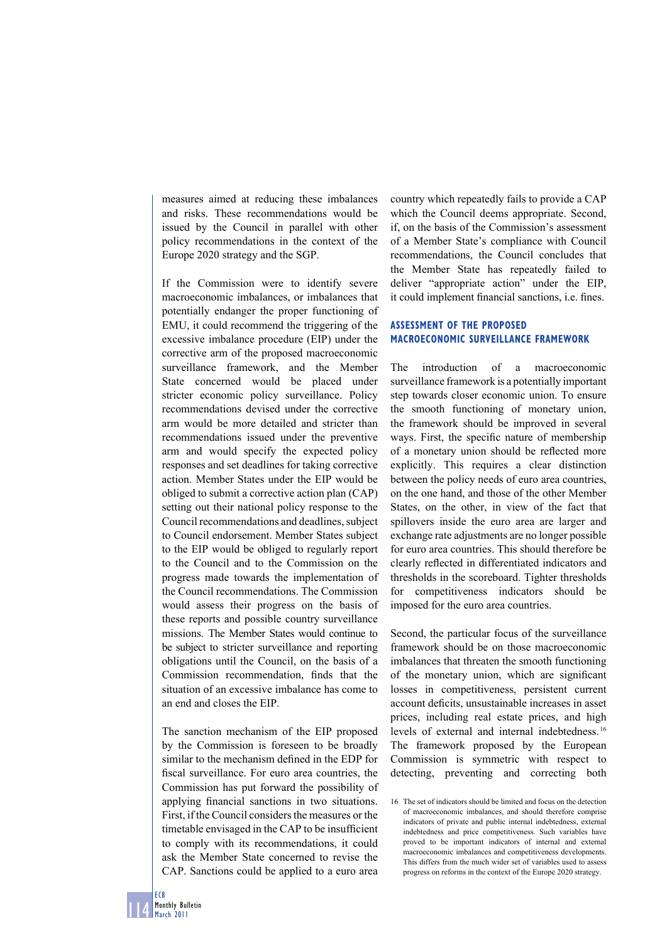measures aimed at reducing these imbalances and risks. These recommendations would be issued by the Council in parallel with other policy recommendations in the context of the Europe 2020 strategy and the SGP.

If the Commission were to identify severe macroeconomic imbalances, or imbalances that potentially endanger the proper functioning of EMU, it could recommend the triggering of the excessive imbalance procedure (EIP) under the corrective arm of the proposed macroeconomic surveillance framework, and the Member State concerned would be placed under stricter economic policy surveillance. Policy recommendations devised under the corrective arm would be more detailed and stricter than recommendations issued under the preventive arm and would specify the expected policy responses and set deadlines for taking corrective action. Member States under the EIP would be obliged to submit a corrective action plan (CAP) setting out their national policy response to the Council recommendations and deadlines, subject to Council endorsement. Member States subject to the EIP would be obliged to regularly report to the Council and to the Commission on the progress made towards the implementation of the Council recommendations. The Commission would assess their progress on the basis of these reports and possible country surveillance missions. The Member States would continue to be subject to stricter surveillance and reporting obligations until the Council, on the basis of a Commission recommendation, finds that the situation of an excessive imbalance has come to an end and closes the EIP.

The sanction mechanism of the EIP proposed by the Commission is foreseen to be broadly similar to the mechanism defined in the EDP for fiscal surveillance. For euro area countries, the Commission has put forward the possibility of applying financial sanctions in two situations. First, if the Council considers the measures or the timetable envisaged in the CAP to be insufficient to comply with its recommendations, it could ask the Member State concerned to revise the CAP. Sanctions could be applied to a euro area

country which repeatedly fails to provide a CAP which the Council deems appropriate. Second, if, on the basis of the Commission's assessment of a Member State's compliance with Council recommendations, the Council concludes that the Member State has repeatedly failed to deliver "appropriate action" under the EIP, it could implement financial sanctions, i.e. fines.

# **ASSESSMENT OF THE PROPOSED MACROECONOMIC SURVEILLANCE FRAMEWORK**

The introduction of a macroeconomic surveillance framework is a potentially important step towards closer economic union. To ensure the smooth functioning of monetary union, the framework should be improved in several ways. First, the specific nature of membership of a monetary union should be reflected more explicitly. This requires a clear distinction between the policy needs of euro area countries, on the one hand, and those of the other Member States, on the other, in view of the fact that spillovers inside the euro area are larger and exchange rate adjustments are no longer possible for euro area countries. This should therefore be clearly reflected in differentiated indicators and thresholds in the scoreboard. Tighter thresholds for competitiveness indicators should be imposed for the euro area countries.

Second, the particular focus of the surveillance framework should be on those macroeconomic imbalances that threaten the smooth functioning of the monetary union, which are significant losses in competitiveness, persistent current account deficits, unsustainable increases in asset prices, including real estate prices, and high levels of external and internal indebtedness. 16 The framework proposed by the European Commission is symmetric with respect to detecting, preventing and correcting both

<sup>16</sup> The set of indicators should be limited and focus on the detection of macroeconomic imbalances, and should therefore comprise indicators of private and public internal indebtedness, external indebtedness and price competitiveness. Such variables have proved to be important indicators of internal and external macroeconomic imbalances and competitiveness developments. This differs from the much wider set of variables used to assess progress on reforms in the context of the Europe 2020 strategy.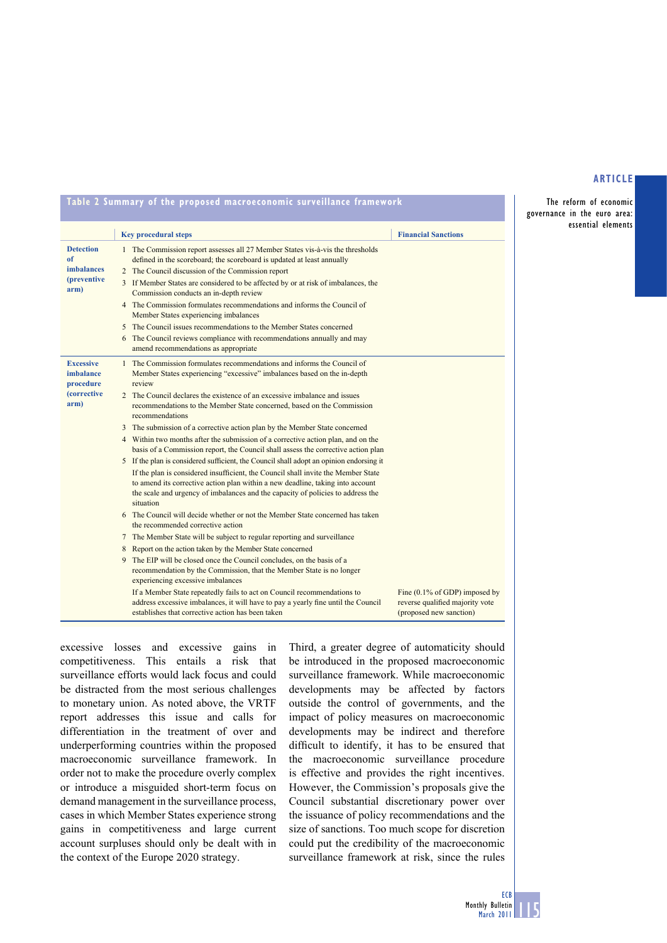The reform of economic governance in the euro area: essential elements

| Table 2 Summary of the proposed macroeconomic surveillance framework                                                                                                                                                                                                                                                                                                                                                                                                                                                                                                                                                                                                                                                                                                                                                                                         |                                                                                                                                                                                                                                                                                                                                                                                                                                                                                                                                                                                                                                                                                                                                                                                                                                                                                                                                                                                                                                                                                                                                                                                      |  |  |
|--------------------------------------------------------------------------------------------------------------------------------------------------------------------------------------------------------------------------------------------------------------------------------------------------------------------------------------------------------------------------------------------------------------------------------------------------------------------------------------------------------------------------------------------------------------------------------------------------------------------------------------------------------------------------------------------------------------------------------------------------------------------------------------------------------------------------------------------------------------|--------------------------------------------------------------------------------------------------------------------------------------------------------------------------------------------------------------------------------------------------------------------------------------------------------------------------------------------------------------------------------------------------------------------------------------------------------------------------------------------------------------------------------------------------------------------------------------------------------------------------------------------------------------------------------------------------------------------------------------------------------------------------------------------------------------------------------------------------------------------------------------------------------------------------------------------------------------------------------------------------------------------------------------------------------------------------------------------------------------------------------------------------------------------------------------|--|--|
|                                                                                                                                                                                                                                                                                                                                                                                                                                                                                                                                                                                                                                                                                                                                                                                                                                                              | <b>Financial Sanctions</b>                                                                                                                                                                                                                                                                                                                                                                                                                                                                                                                                                                                                                                                                                                                                                                                                                                                                                                                                                                                                                                                                                                                                                           |  |  |
| defined in the scoreboard; the scoreboard is updated at least annually<br>Commission conducts an in-depth review<br>Member States experiencing imbalances<br>The Council reviews compliance with recommendations annually and may<br>amend recommendations as appropriate                                                                                                                                                                                                                                                                                                                                                                                                                                                                                                                                                                                    |                                                                                                                                                                                                                                                                                                                                                                                                                                                                                                                                                                                                                                                                                                                                                                                                                                                                                                                                                                                                                                                                                                                                                                                      |  |  |
| Member States experiencing "excessive" imbalances based on the in-depth<br>review<br>recommendations to the Member State concerned, based on the Commission<br>recommendations<br>basis of a Commission report, the Council shall assess the corrective action plan<br>If the plan is considered insufficient, the Council shall invite the Member State<br>to amend its corrective action plan within a new deadline, taking into account<br>the scale and urgency of imbalances and the capacity of policies to address the<br>situation<br>the recommended corrective action<br>recommendation by the Commission, that the Member State is no longer<br>experiencing excessive imbalances<br>If a Member State repeatedly fails to act on Council recommendations to<br>address excessive imbalances, it will have to pay a yearly fine until the Council | Fine $(0.1\% \text{ of GDP})$ imposed by<br>reverse qualified majority vote                                                                                                                                                                                                                                                                                                                                                                                                                                                                                                                                                                                                                                                                                                                                                                                                                                                                                                                                                                                                                                                                                                          |  |  |
|                                                                                                                                                                                                                                                                                                                                                                                                                                                                                                                                                                                                                                                                                                                                                                                                                                                              | <b>Key procedural steps</b><br>1 The Commission report assesses all 27 Member States vis-à-vis the thresholds<br>2 The Council discussion of the Commission report<br>3 If Member States are considered to be affected by or at risk of imbalances, the<br>4 The Commission formulates recommendations and informs the Council of<br>5 The Council issues recommendations to the Member States concerned<br>1 The Commission formulates recommendations and informs the Council of<br>2 The Council declares the existence of an excessive imbalance and issues<br>3 The submission of a corrective action plan by the Member State concerned<br>4 Within two months after the submission of a corrective action plan, and on the<br>5 If the plan is considered sufficient, the Council shall adopt an opinion endorsing it<br>6 The Council will decide whether or not the Member State concerned has taken<br>7 The Member State will be subject to regular reporting and surveillance<br>8 Report on the action taken by the Member State concerned<br>The EIP will be closed once the Council concludes, on the basis of a<br>establishes that corrective action has been taken |  |  |

excessive losses and excessive gains in competitiveness. This entails a risk that surveillance efforts would lack focus and could be distracted from the most serious challenges to monetary union. As noted above, the VRTF report addresses this issue and calls for differentiation in the treatment of over and underperforming countries within the proposed macroeconomic surveillance framework. In order not to make the procedure overly complex or introduce a misguided short-term focus on demand management in the surveillance process, cases in which Member States experience strong gains in competitiveness and large current account surpluses should only be dealt with in the context of the Europe 2020 strategy.

Third, a greater degree of automaticity should be introduced in the proposed macroeconomic surveillance framework. While macroeconomic developments may be affected by factors outside the control of governments, and the impact of policy measures on macroeconomic developments may be indirect and therefore difficult to identify, it has to be ensured that the macroeconomic surveillance procedure is effective and provides the right incentives. However, the Commission's proposals give the Council substantial discretionary power over the issuance of policy recommendations and the size of sanctions. Too much scope for discretion could put the credibility of the macroeconomic surveillance framework at risk, since the rules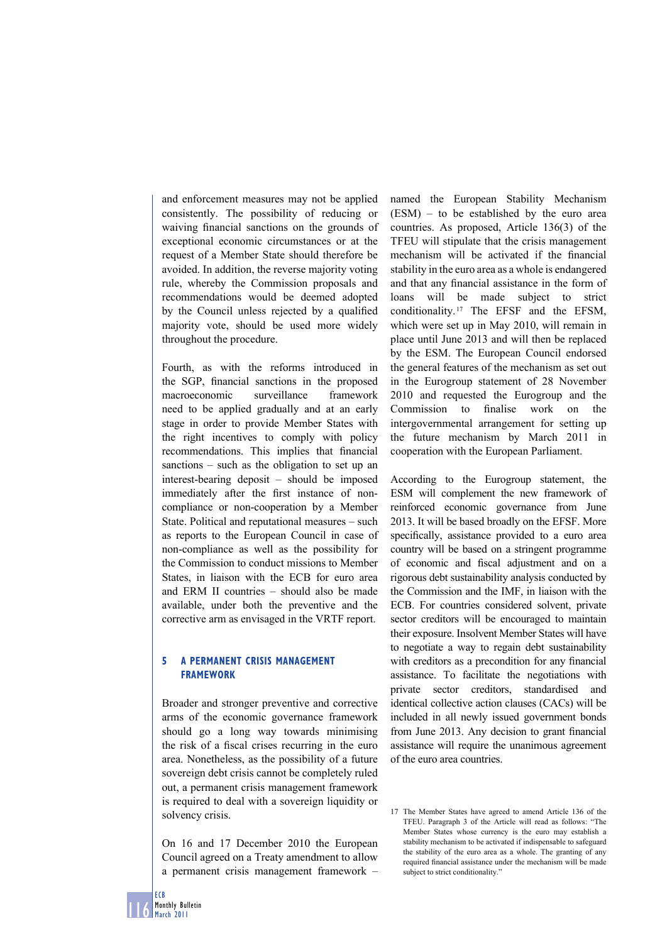and enforcement measures may not be applied consistently. The possibility of reducing or waiving financial sanctions on the grounds of exceptional economic circumstances or at the request of a Member State should therefore be avoided. In addition, the reverse majority voting rule, whereby the Commission proposals and recommendations would be deemed adopted by the Council unless rejected by a qualified majority vote, should be used more widely throughout the procedure.

Fourth, as with the reforms introduced in the SGP, financial sanctions in the proposed macroeconomic surveillance framework need to be applied gradually and at an early stage in order to provide Member States with the right incentives to comply with policy recommendations. This implies that financial sanctions – such as the obligation to set up an interest-bearing deposit – should be imposed immediately after the first instance of noncompliance or non-cooperation by a Member State. Political and reputational measures – such as reports to the European Council in case of non-compliance as well as the possibility for the Commission to conduct missions to Member States, in liaison with the ECB for euro area and ERM II countries – should also be made available, under both the preventive and the corrective arm as envisaged in the VRTF report.

# **5 A PERMANENT CRISIS MANAGEMENT FRAMEWORK**

Broader and stronger preventive and corrective arms of the economic governance framework should go a long way towards minimising the risk of a fiscal crises recurring in the euro area. Nonetheless, as the possibility of a future sovereign debt crisis cannot be completely ruled out, a permanent crisis management framework is required to deal with a sovereign liquidity or solvency crisis.

On 16 and 17 December 2010 the European Council agreed on a Treaty amendment to allow a permanent crisis management framework – named the European Stability Mechanism (ESM) – to be established by the euro area countries. As proposed, Article 136(3) of the TFEU will stipulate that the crisis management mechanism will be activated if the financial stability in the euro area as a whole is endangered and that any financial assistance in the form of loans will be made subject to strict conditionality. 17 The EFSF and the EFSM, which were set up in May 2010, will remain in place until June 2013 and will then be replaced by the ESM. The European Council endorsed the general features of the mechanism as set out in the Eurogroup statement of 28 November 2010 and requested the Eurogroup and the Commission to finalise work on the intergovernmental arrangement for setting up the future mechanism by March 2011 in cooperation with the European Parliament.

According to the Eurogroup statement, the ESM will complement the new framework of reinforced economic governance from June 2013. It will be based broadly on the EFSF. More specifically, assistance provided to a euro area country will be based on a stringent programme of economic and fiscal adjustment and on a rigorous debt sustainability analysis conducted by the Commission and the IMF, in liaison with the ECB. For countries considered solvent, private sector creditors will be encouraged to maintain their exposure. Insolvent Member States will have to negotiate a way to regain debt sustainability with creditors as a precondition for any financial assistance. To facilitate the negotiations with private sector creditors, standardised and identical collective action clauses (CACs) will be included in all newly issued government bonds from June 2013. Any decision to grant financial assistance will require the unanimous agreement of the euro area countries.

<sup>17</sup> The Member States have agreed to amend Article 136 of the TFEU. Paragraph 3 of the Article will read as follows: "The Member States whose currency is the euro may establish a stability mechanism to be activated if indispensable to safeguard the stability of the euro area as a whole. The granting of any required financial assistance under the mechanism will be made subject to strict conditionality."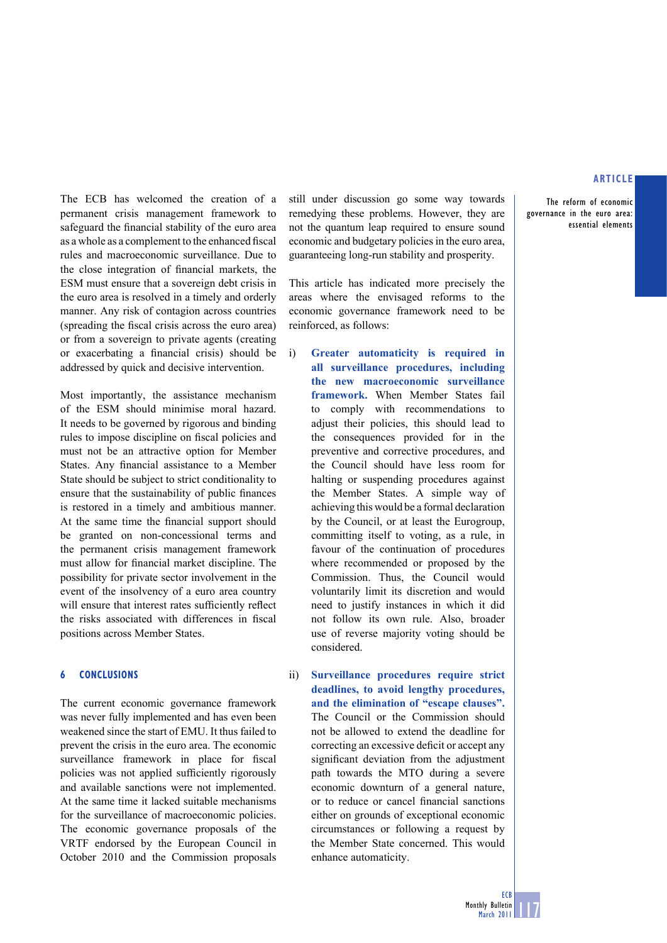The reform of economic governance in the euro area: essential elements

The ECB has welcomed the creation of a permanent crisis management framework to safeguard the financial stability of the euro area as a whole as a complement to the enhanced fiscal rules and macroeconomic surveillance. Due to the close integration of financial markets, the ESM must ensure that a sovereign debt crisis in the euro area is resolved in a timely and orderly manner. Any risk of contagion across countries (spreading the fiscal crisis across the euro area) or from a sovereign to private agents (creating or exacerbating a financial crisis) should be addressed by quick and decisive intervention.

Most importantly, the assistance mechanism of the ESM should minimise moral hazard. It needs to be governed by rigorous and binding rules to impose discipline on fiscal policies and must not be an attractive option for Member States. Any financial assistance to a Member State should be subject to strict conditionality to ensure that the sustainability of public finances is restored in a timely and ambitious manner. At the same time the financial support should be granted on non-concessional terms and the permanent crisis management framework must allow for financial market discipline. The possibility for private sector involvement in the event of the insolvency of a euro area country will ensure that interest rates sufficiently reflect the risks associated with differences in fiscal positions across Member States.

#### **6 CONCLUSIONS**

The current economic governance framework was never fully implemented and has even been weakened since the start of EMU. It thus failed to prevent the crisis in the euro area. The economic surveillance framework in place for fiscal policies was not applied sufficiently rigorously and available sanctions were not implemented. At the same time it lacked suitable mechanisms for the surveillance of macroeconomic policies. The economic governance proposals of the VRTF endorsed by the European Council in October 2010 and the Commission proposals

still under discussion go some way towards remedying these problems. However, they are not the quantum leap required to ensure sound economic and budgetary policies in the euro area, guaranteeing long-run stability and prosperity.

This article has indicated more precisely the areas where the envisaged reforms to the economic governance framework need to be reinforced, as follows:

- i) **Greater automaticity is required in all surveillance procedures, including the new macroeconomic surveillance framework.** When Member States fail to comply with recommendations to adjust their policies, this should lead to the consequences provided for in the preventive and corrective procedures, and the Council should have less room for halting or suspending procedures against the Member States. A simple way of achieving this would be a formal declaration by the Council, or at least the Eurogroup, committing itself to voting, as a rule, in favour of the continuation of procedures where recommended or proposed by the Commission. Thus, the Council would voluntarily limit its discretion and would need to justify instances in which it did not follow its own rule. Also, broader use of reverse majority voting should be considered.
- ii) **Surveillance procedures require strict deadlines, to avoid lengthy procedures, and the elimination of "escape clauses".**  The Council or the Commission should not be allowed to extend the deadline for correcting an excessive deficit or accept any significant deviation from the adjustment path towards the MTO during a severe economic downturn of a general nature, or to reduce or cancel financial sanctions either on grounds of exceptional economic circumstances or following a request by the Member State concerned. This would enhance automaticity.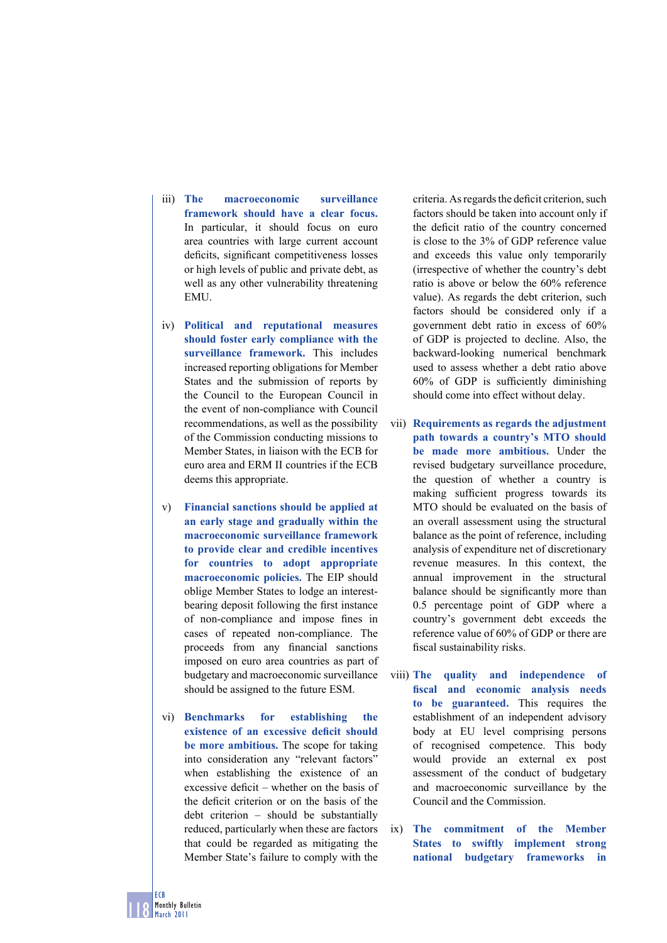- iii) **The macroeconomic surveillance framework should have a clear focus.**  In particular, it should focus on euro area countries with large current account deficits, significant competitiveness losses or high levels of public and private debt, as well as any other vulnerability threatening **EMU**
- iv) **Political and reputational measures should foster early compliance with the surveillance framework.** This includes increased reporting obligations for Member States and the submission of reports by the Council to the European Council in the event of non-compliance with Council recommendations, as well as the possibility of the Commission conducting missions to Member States, in liaison with the ECB for euro area and ERM II countries if the ECB deems this appropriate.
- v) **Financial sanctions should be applied at an early stage and gradually within the macroeconomic surveillance framework to provide clear and credible incentives for countries to adopt appropriate macroeconomic policies.** The EIP should oblige Member States to lodge an interestbearing deposit following the first instance of non-compliance and impose fines in cases of repeated non-compliance. The proceeds from any financial sanctions imposed on euro area countries as part of budgetary and macroeconomic surveillance should be assigned to the future ESM.
- vi) **Benchmarks for establishing the**  existence of an excessive deficit should **be more ambitious.** The scope for taking into consideration any "relevant factors" when establishing the existence of an excessive deficit – whether on the basis of the deficit criterion or on the basis of the debt criterion – should be substantially reduced, particularly when these are factors that could be regarded as mitigating the Member State's failure to comply with the

criteria. As regards the deficit criterion, such factors should be taken into account only if the deficit ratio of the country concerned is close to the 3% of GDP reference value and exceeds this value only temporarily (irrespective of whether the country's debt ratio is above or below the 60% reference value). As regards the debt criterion, such factors should be considered only if a government debt ratio in excess of 60% of GDP is projected to decline. Also, the backward-looking numerical benchmark used to assess whether a debt ratio above  $60\%$  of GDP is sufficiently diminishing should come into effect without delay.

- vii) **Requirements as regards the adjustment path towards a country's MTO should be made more ambitious.** Under the revised budgetary surveillance procedure, the question of whether a country is making sufficient progress towards its MTO should be evaluated on the basis of an overall assessment using the structural balance as the point of reference, including analysis of expenditure net of discretionary revenue measures. In this context, the annual improvement in the structural balance should be significantly more than 0.5 percentage point of GDP where a country's government debt exceeds the reference value of 60% of GDP or there are fiscal sustainability risks.
- viii) **The quality and independence of fi scal and economic analysis needs to be guaranteed.** This requires the establishment of an independent advisory body at EU level comprising persons of recognised competence. This body would provide an external ex post assessment of the conduct of budgetary and macroeconomic surveillance by the Council and the Commission.
- ix) **The commitment of the Member States to swiftly implement strong national budgetary frameworks in**

118 ECB Monthly Bulletin March 2011